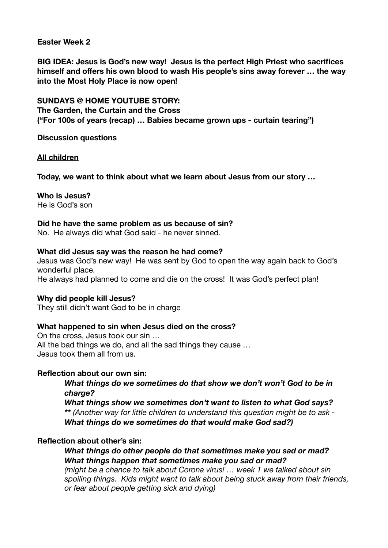#### **Easter Week 2**

**BIG IDEA: Jesus is God's new way! Jesus is the perfect High Priest who sacrifices himself and offers his own blood to wash His people's sins away forever … the way into the Most Holy Place is now open!** 

**SUNDAYS @ HOME YOUTUBE STORY: The Garden, the Curtain and the Cross ("For 100s of years (recap) … Babies became grown ups - curtain tearing")** 

**Discussion questions** 

#### **All children**

**Today, we want to think about what we learn about Jesus from our story …** 

# **Who is Jesus?**

He is God's son

#### **Did he have the same problem as us because of sin?**

No. He always did what God said - he never sinned.

#### **What did Jesus say was the reason he had come?**

Jesus was God's new way! He was sent by God to open the way again back to God's wonderful place.

He always had planned to come and die on the cross! It was God's perfect plan!

#### **Why did people kill Jesus?**

They still didn't want God to be in charge

#### **What happened to sin when Jesus died on the cross?**

On the cross, Jesus took our sin … All the bad things we do, and all the sad things they cause … Jesus took them all from us.

#### **Reflection about our own sin:**

*What things do we sometimes do that show we don't won't God to be in charge?* 

*What things show we sometimes don't want to listen to what God says? \*\* (Another way for little children to understand this question might be to ask - What things do we sometimes do that would make God sad?)* 

#### **Reflection about other's sin:**

#### *What things do other people do that sometimes make you sad or mad? What things happen that sometimes make you sad or mad?*

*(might be a chance to talk about Corona virus! … week 1 we talked about sin spoiling things. Kids might want to talk about being stuck away from their friends, or fear about people getting sick and dying)*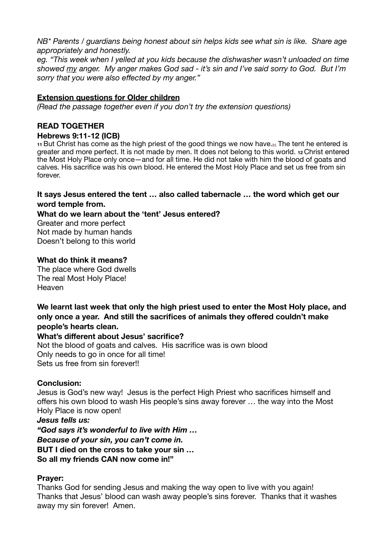*NB\* Parents / guardians being honest about sin helps kids see what sin is like. Share age appropriately and honestly.* 

*eg. "This week when I yelled at you kids because the dishwasher wasn't unloaded on time showed my anger. My anger makes God sad - it's sin and I've said sorry to God. But I'm sorry that you were also effected by my anger."* 

### **Extension questions for Older children**

*(Read the passage together even if you don't try the extension questions)* 

# **READ TOGETHER**

#### **Hebrews 9:11-12 (ICB)**

**<sup>11</sup>** But Christ has come as the high priest of the good things we now have.[b] The tent he entered is greater and more perfect. It is not made by men. It does not belong to this world. **<sup>12</sup>** Christ entered the Most Holy Place only once—and for all time. He did not take with him the blood of goats and calves. His sacrifice was his own blood. He entered the Most Holy Place and set us free from sin forever.

#### **It says Jesus entered the tent … also called tabernacle … the word which get our word temple from.**

# **What do we learn about the 'tent' Jesus entered?**

Greater and more perfect Not made by human hands Doesn't belong to this world

#### **What do think it means?**

The place where God dwells The real Most Holy Place! Heaven

**We learnt last week that only the high priest used to enter the Most Holy place, and only once a year. And still the sacrifices of animals they offered couldn't make people's hearts clean.** 

#### **What's different about Jesus' sacrifice?**

Not the blood of goats and calves. His sacrifice was is own blood Only needs to go in once for all time! Sets us free from sin forever!!

#### **Conclusion:**

Jesus is God's new way! Jesus is the perfect High Priest who sacrifices himself and offers his own blood to wash His people's sins away forever … the way into the Most Holy Place is now open!

*Jesus tells us:* 

*"God says it's wonderful to live with Him … Because of your sin, you can't come in.*  **BUT I died on the cross to take your sin … So all my friends CAN now come in!"** 

# **Prayer:**

Thanks God for sending Jesus and making the way open to live with you again! Thanks that Jesus' blood can wash away people's sins forever. Thanks that it washes away my sin forever! Amen.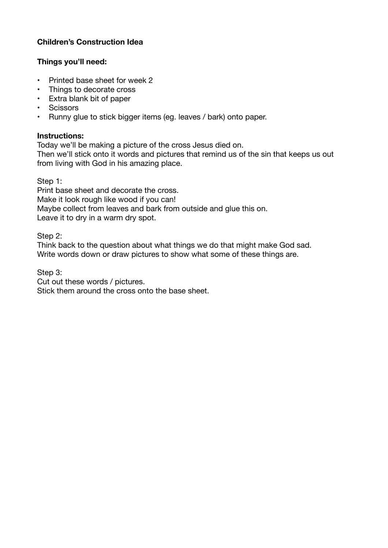# **Children's Construction Idea**

# **Things you'll need:**

- Printed base sheet for week 2
- Things to decorate cross
- Extra blank bit of paper
- Scissors
- Runny glue to stick bigger items (eg. leaves / bark) onto paper.

# **Instructions:**

Today we'll be making a picture of the cross Jesus died on.

Then we'll stick onto it words and pictures that remind us of the sin that keeps us out from living with God in his amazing place.

Step 1:

Print base sheet and decorate the cross. Make it look rough like wood if you can! Maybe collect from leaves and bark from outside and glue this on. Leave it to dry in a warm dry spot.

Step 2:

Think back to the question about what things we do that might make God sad. Write words down or draw pictures to show what some of these things are.

Step 3:

Cut out these words / pictures.

Stick them around the cross onto the base sheet.